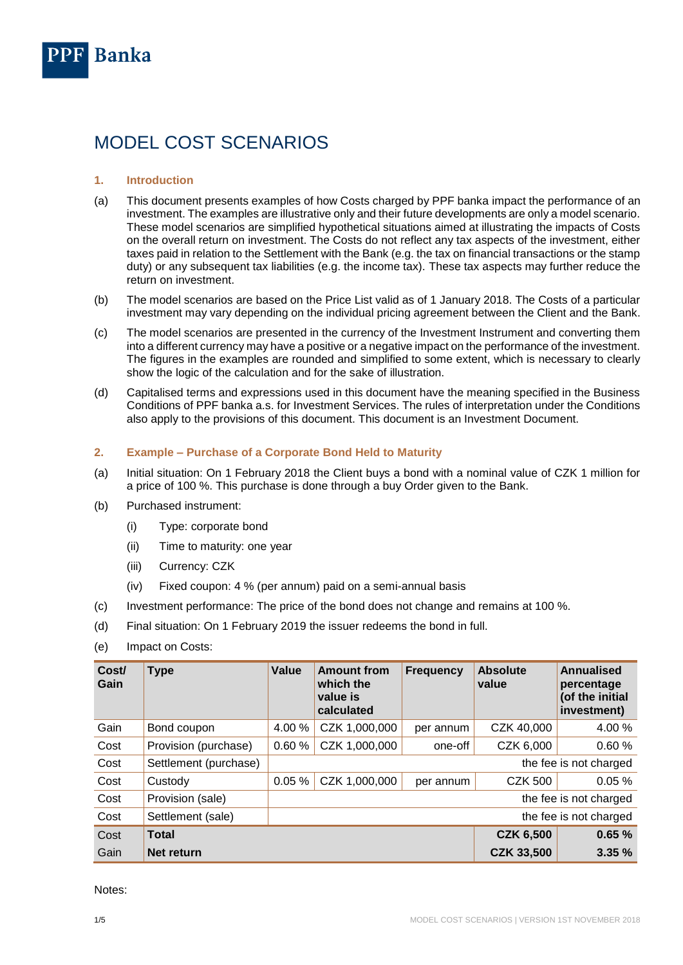

# MODEL COST SCENARIOS

## **1. Introduction**

- (a) This document presents examples of how Costs charged by PPF banka impact the performance of an investment. The examples are illustrative only and their future developments are only a model scenario. These model scenarios are simplified hypothetical situations aimed at illustrating the impacts of Costs on the overall return on investment. The Costs do not reflect any tax aspects of the investment, either taxes paid in relation to the Settlement with the Bank (e.g. the tax on financial transactions or the stamp duty) or any subsequent tax liabilities (e.g. the income tax). These tax aspects may further reduce the return on investment.
- (b) The model scenarios are based on the Price List valid as of 1 January 2018. The Costs of a particular investment may vary depending on the individual pricing agreement between the Client and the Bank.
- (c) The model scenarios are presented in the currency of the Investment Instrument and converting them into a different currency may have a positive or a negative impact on the performance of the investment. The figures in the examples are rounded and simplified to some extent, which is necessary to clearly show the logic of the calculation and for the sake of illustration.
- (d) Capitalised terms and expressions used in this document have the meaning specified in the Business Conditions of PPF banka a.s. for Investment Services. The rules of interpretation under the Conditions also apply to the provisions of this document. This document is an Investment Document.

#### **2. Example – Purchase of a Corporate Bond Held to Maturity**

- (a) Initial situation: On 1 February 2018 the Client buys a bond with a nominal value of CZK 1 million for a price of 100 %. This purchase is done through a buy Order given to the Bank.
- (b) Purchased instrument:
	- (i) Type: corporate bond
	- (ii) Time to maturity: one year
	- (iii) Currency: CZK
	- (iv) Fixed coupon: 4 % (per annum) paid on a semi-annual basis
- (c) Investment performance: The price of the bond does not change and remains at 100 %.
- (d) Final situation: On 1 February 2019 the issuer redeems the bond in full.
- (e) Impact on Costs:

| Cost/<br>Gain | <b>Type</b>           | <b>Value</b>                                          | <b>Amount from</b><br>which the<br>value is<br>calculated | <b>Frequency</b> | <b>Absolute</b><br>value | Annualised<br>percentage<br>(of the initial<br>investment) |
|---------------|-----------------------|-------------------------------------------------------|-----------------------------------------------------------|------------------|--------------------------|------------------------------------------------------------|
| Gain          | Bond coupon           | 4.00 %                                                | CZK 1,000,000                                             | per annum        | CZK 40,000               | 4.00 %                                                     |
| Cost          | Provision (purchase)  | 0.60%                                                 | CZK 1,000,000                                             | one-off          | CZK 6,000                | 0.60%                                                      |
| Cost          | Settlement (purchase) | the fee is not charged                                |                                                           |                  |                          |                                                            |
| Cost          | Custody               | 0.05%<br>CZK 1,000,000<br><b>CZK 500</b><br>per annum |                                                           |                  |                          | 0.05%                                                      |
| Cost          | Provision (sale)      | the fee is not charged                                |                                                           |                  |                          |                                                            |
| Cost          | Settlement (sale)     | the fee is not charged                                |                                                           |                  |                          |                                                            |
| Cost          | <b>Total</b>          |                                                       |                                                           |                  | <b>CZK 6,500</b>         | 0.65%                                                      |
| Gain          | Net return            |                                                       |                                                           |                  | <b>CZK 33,500</b>        | 3.35%                                                      |

<span id="page-0-0"></span>Notes: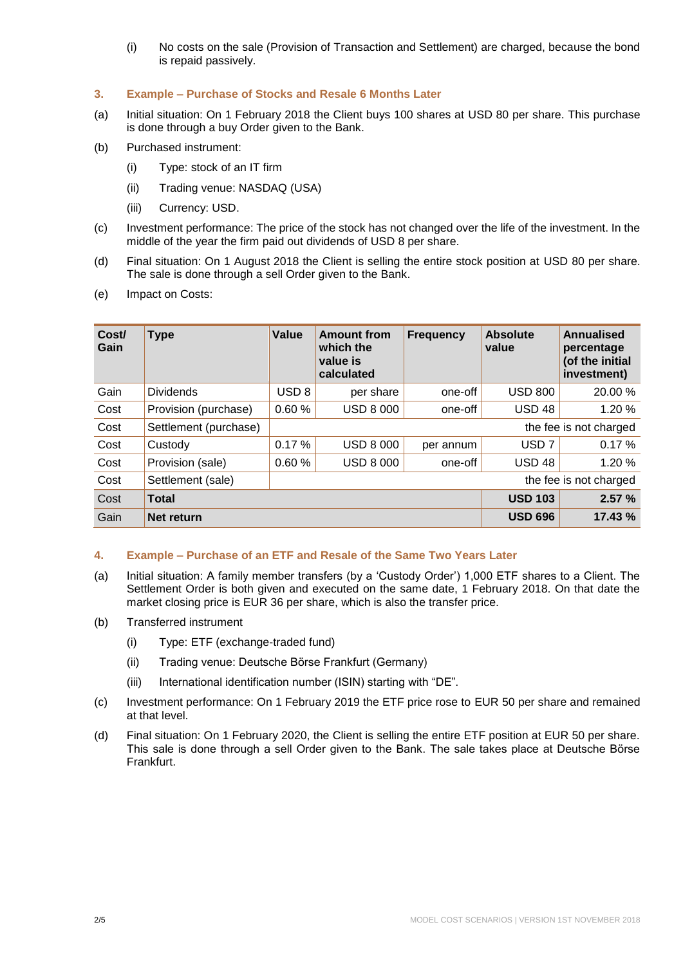(i) No costs on the sale (Provision of Transaction and Settlement) are charged, because the bond is repaid passively.

# **3. Example – Purchase of Stocks and Resale 6 Months Later**

- (a) Initial situation: On 1 February 2018 the Client buys 100 shares at USD 80 per share. This purchase is done through a buy Order given to the Bank.
- (b) Purchased instrument:
	- (i) Type: stock of an IT firm
	- (ii) Trading venue: NASDAQ (USA)
	- (iii) Currency: USD.
- (c) Investment performance: The price of the stock has not changed over the life of the investment. In the middle of the year the firm paid out dividends of USD 8 per share.
- (d) Final situation: On 1 August 2018 the Client is selling the entire stock position at USD 80 per share. The sale is done through a sell Order given to the Bank.
- (e) Impact on Costs:

| Cost/<br>Gain | <b>Type</b>           | Value                  | <b>Amount from</b><br>which the<br>value is<br>calculated | <b>Frequency</b> | <b>Absolute</b><br>value | Annualised<br>percentage<br>(of the initial<br>investment) |
|---------------|-----------------------|------------------------|-----------------------------------------------------------|------------------|--------------------------|------------------------------------------------------------|
| Gain          | <b>Dividends</b>      | USD <sub>8</sub>       | per share                                                 | one-off          | <b>USD 800</b>           | 20.00 %                                                    |
| Cost          | Provision (purchase)  | 0.60%                  | <b>USD 8 000</b>                                          | one-off          | <b>USD 48</b>            | 1.20 %                                                     |
| Cost          | Settlement (purchase) | the fee is not charged |                                                           |                  |                          |                                                            |
| Cost          | Custody               | 0.17%                  | <b>USD 8 000</b>                                          | per annum        | USD <sub>7</sub>         | 0.17%                                                      |
| Cost          | Provision (sale)      | 0.60%                  | <b>USD 8 000</b>                                          | one-off          | <b>USD 48</b>            | 1.20 %                                                     |
| Cost          | Settlement (sale)     |                        |                                                           |                  |                          | the fee is not charged                                     |
| Cost          | <b>Total</b>          |                        |                                                           |                  | <b>USD 103</b>           | 2.57%                                                      |
| Gain          | Net return            |                        |                                                           |                  | <b>USD 696</b>           | 17.43 %                                                    |

#### **4. Example – Purchase of an ETF and Resale of the Same Two Years Later**

- (a) Initial situation: A family member transfers (by a 'Custody Order') 1,000 ETF shares to a Client. The Settlement Order is both given and executed on the same date, 1 February 2018. On that date the market closing price is EUR 36 per share, which is also the transfer price.
- (b) Transferred instrument
	- (i) Type: ETF (exchange-traded fund)
	- (ii) Trading venue: Deutsche Börse Frankfurt (Germany)
	- (iii) International identification number (ISIN) starting with "DE".
- (c) Investment performance: On 1 February 2019 the ETF price rose to EUR 50 per share and remained at that level.
- (d) Final situation: On 1 February 2020, the Client is selling the entire ETF position at EUR 50 per share. This sale is done through a sell Order given to the Bank. The sale takes place at Deutsche Börse Frankfurt.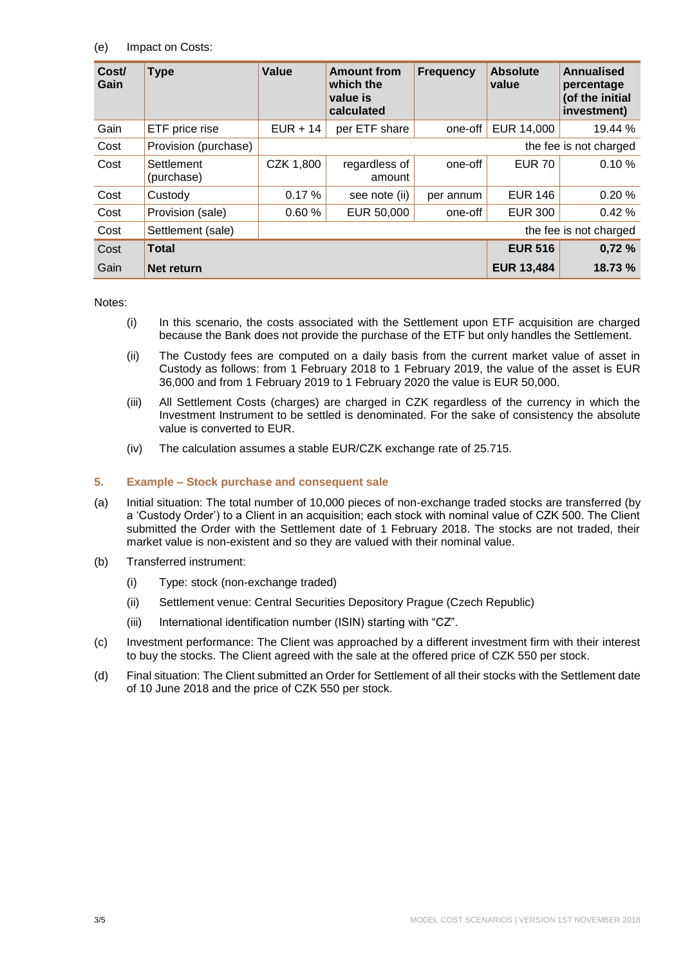## (e) Impact on Costs:

| Cost/<br>Gain | <b>Type</b>              | Value                  | <b>Amount from</b><br>which the<br>value is<br>calculated | <b>Frequency</b> | <b>Absolute</b><br>value | Annualised<br>percentage<br>(of the initial<br>investment) |  |
|---------------|--------------------------|------------------------|-----------------------------------------------------------|------------------|--------------------------|------------------------------------------------------------|--|
| Gain          | ETF price rise           | $EUR + 14$             | per ETF share                                             | one-off          | EUR 14,000               | 19.44 %                                                    |  |
| Cost          | Provision (purchase)     |                        | the fee is not charged                                    |                  |                          |                                                            |  |
| Cost          | Settlement<br>(purchase) | CZK 1,800              | regardless of<br>amount                                   | one-off          | <b>EUR 70</b>            | 0.10%                                                      |  |
| Cost          | Custody                  | 0.17%                  | see note (ii)                                             | per annum        | <b>EUR 146</b>           | 0.20%                                                      |  |
| Cost          | Provision (sale)         | 0.60%                  | EUR 50,000                                                | one-off          | <b>EUR 300</b>           | 0.42%                                                      |  |
| Cost          | Settlement (sale)        | the fee is not charged |                                                           |                  |                          |                                                            |  |
| Cost          | <b>Total</b>             |                        |                                                           |                  | <b>EUR 516</b>           | 0,72%                                                      |  |
| Gain          | Net return               |                        |                                                           |                  | <b>EUR 13,484</b>        | 18.73 %                                                    |  |

Notes:

- (i) In this scenario, the costs associated with the Settlement upon ETF acquisition are charged because the Bank does not provide the purchase of the ETF but only handles the Settlement.
- (ii) The Custody fees are computed on a daily basis from the current market value of asset in Custody as follows: from 1 February 2018 to 1 February 2019, the value of the asset is EUR 36,000 and from 1 February 2019 to 1 February 2020 the value is EUR 50,000.
- (iii) All Settlement Costs (charges) are charged in CZK regardless of the currency in which the Investment Instrument to be settled is denominated. For the sake of consistency the absolute value is converted to EUR.
- (iv) The calculation assumes a stable EUR/CZK exchange rate of 25.715.

### **5. Example – Stock purchase and consequent sale**

- (a) Initial situation: The total number of 10,000 pieces of non-exchange traded stocks are transferred (by a 'Custody Order') to a Client in an acquisition; each stock with nominal value of CZK 500. The Client submitted the Order with the Settlement date of 1 February 2018. The stocks are not traded, their market value is non-existent and so they are valued with their nominal value.
- (b) Transferred instrument:
	- (i) Type: stock (non-exchange traded)
	- (ii) Settlement venue: Central Securities Depository Prague (Czech Republic)
	- (iii) International identification number (ISIN) starting with "CZ".
- (c) Investment performance: The Client was approached by a different investment firm with their interest to buy the stocks. The Client agreed with the sale at the offered price of CZK 550 per stock.
- (d) Final situation: The Client submitted an Order for Settlement of all their stocks with the Settlement date of 10 June 2018 and the price of CZK 550 per stock.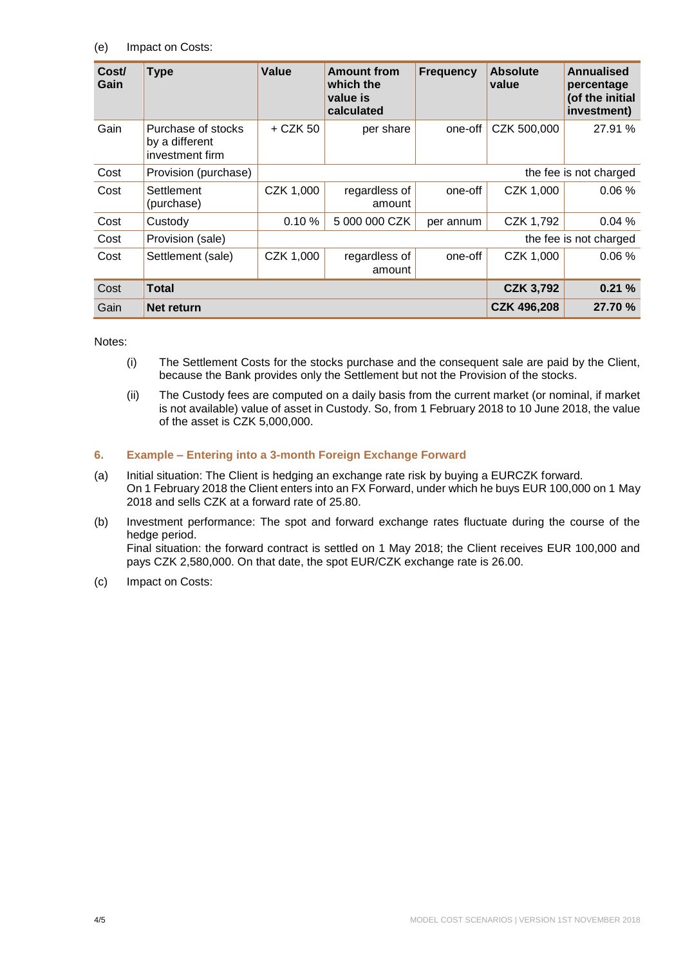## (e) Impact on Costs:

| Cost/<br>Gain | <b>Type</b>                                             | Value      | <b>Amount from</b><br>which the<br>value is<br>calculated | <b>Frequency</b> | <b>Absolute</b><br>value | Annualised<br>percentage<br>(of the initial<br>investment) |  |
|---------------|---------------------------------------------------------|------------|-----------------------------------------------------------|------------------|--------------------------|------------------------------------------------------------|--|
| Gain          | Purchase of stocks<br>by a different<br>investment firm | $+$ CZK 50 | per share                                                 | one-off          | CZK 500,000              | 27.91 %                                                    |  |
| Cost          | Provision (purchase)                                    |            | the fee is not charged                                    |                  |                          |                                                            |  |
| Cost          | Settlement<br>(purchase)                                | CZK 1,000  | regardless of<br>amount                                   | one-off          | CZK 1,000                | 0.06%                                                      |  |
| Cost          | Custody                                                 | 0.10%      | 5 000 000 CZK                                             | per annum        | CZK 1,792                | 0.04%                                                      |  |
| Cost          | Provision (sale)                                        |            | the fee is not charged                                    |                  |                          |                                                            |  |
| Cost          | Settlement (sale)                                       | CZK 1,000  | regardless of<br>amount                                   | one-off          | CZK 1,000                | 0.06%                                                      |  |
| Cost          | <b>Total</b>                                            |            |                                                           |                  | <b>CZK 3,792</b>         | 0.21%                                                      |  |
| Gain          | Net return                                              |            |                                                           |                  | <b>CZK 496,208</b>       | 27.70 %                                                    |  |

Notes:

- (i) The Settlement Costs for the stocks purchase and the consequent sale are paid by the Client, because the Bank provides only the Settlement but not the Provision of the stocks.
- (ii) The Custody fees are computed on a daily basis from the current market (or nominal, if market is not available) value of asset in Custody. So, from 1 February 2018 to 10 June 2018, the value of the asset is CZK 5,000,000.

# **6. Example – Entering into a 3-month Foreign Exchange Forward**

- (a) Initial situation: The Client is hedging an exchange rate risk by buying a EURCZK forward. On 1 February 2018 the Client enters into an FX Forward, under which he buys EUR 100,000 on 1 May 2018 and sells CZK at a forward rate of 25.80.
- (b) Investment performance: The spot and forward exchange rates fluctuate during the course of the hedge period. Final situation: the forward contract is settled on 1 May 2018; the Client receives EUR 100,000 and pays CZK 2,580,000. On that date, the spot EUR/CZK exchange rate is 26.00.
- (c) Impact on Costs: